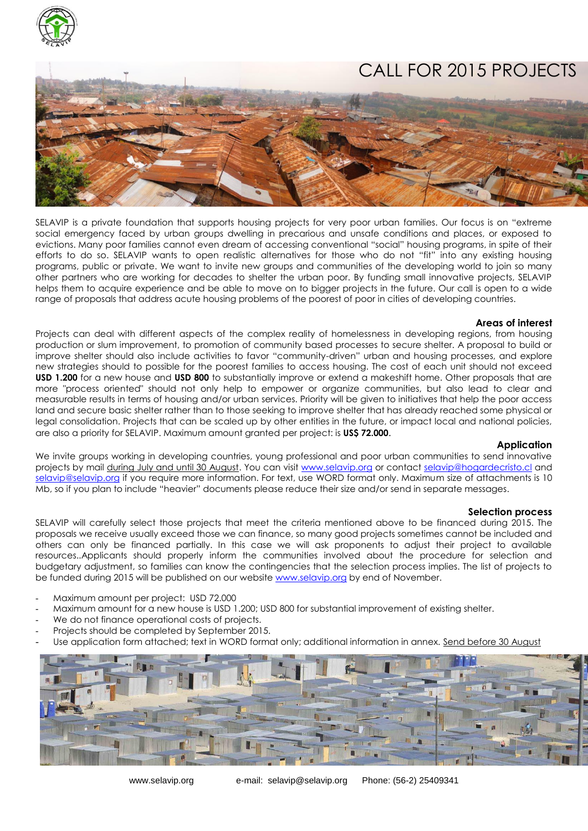

# CALL FOR 2015 PROJECTS

SELAVIP is a private foundation that supports housing projects for very poor urban families. Our focus is on "extreme social emergency faced by urban groups dwelling in precarious and unsafe conditions and places, or exposed to evictions. Many poor families cannot even dream of accessing conventional "social" housing programs, in spite of their efforts to do so. SELAVIP wants to open realistic alternatives for those who do not "fit" into any existing housing programs, public or private. We want to invite new groups and communities of the developing world to join so many other partners who are working for decades to shelter the urban poor. By funding small innovative projects, SELAVIP helps them to acquire experience and be able to move on to bigger projects in the future. Our call is open to a wide range of proposals that address acute housing problems of the poorest of poor in cities of developing countries.

### **Areas of interest**

Projects can deal with different aspects of the complex reality of homelessness in developing regions, from housing production or slum improvement, to promotion of community based processes to secure shelter. A proposal to build or improve shelter should also include activities to favor "community-driven" urban and housing processes, and explore new strategies should to possible for the poorest families to access housing. The cost of each unit should not exceed **USD 1.200** for a new house and **USD 800** to substantially improve or extend a makeshift home. Other proposals that are more "process oriented" should not only help to empower or organize communities, but also lead to clear and measurable results in terms of housing and/or urban services. Priority will be given to initiatives that help the poor access land and secure basic shelter rather than to those seeking to improve shelter that has already reached some physical or legal consolidation. Projects that can be scaled up by other entities in the future, or impact local and national policies, are also a priority for SELAVIP. Maximum amount granted per project: is **US\$ 72.000**.

## **Application**

We invite groups working in developing countries, young professional and poor urban communities to send innovative projects by mail during July and until 30 August. You can visit [www.selavip.org](http://www.selavip.org/) or contact [selavip@hogardecristo.cl](mailto:selavip@hogardecristo.cl) and [selavip@selavip.org](mailto:selavip@selavip.org) if you require more information. For text, use WORD format only. Maximum size of attachments is 10 Mb, so if you plan to include "heavier" documents please reduce their size and/or send in separate messages.

## **Selection process**

SELAVIP will carefully select those projects that meet the criteria mentioned above to be financed during 2015. The proposals we receive usually exceed those we can finance, so many good projects sometimes cannot be included and others can only be financed partially. In this case we will ask proponents to adjust their project to available resources..Applicants should properly inform the communities involved about the procedure for selection and budgetary adjustment, so families can know the contingencies that the selection process implies. The list of projects to be funded during 2015 will be published on our website [www.selavip.org](http://www.selavip.org/) by end of November.

- Maximum amount per project: USD 72.000
- Maximum amount for a new house is USD 1.200; USD 800 for substantial improvement of existing shelter.
- We do not finance operational costs of projects.
- Projects should be completed by September 2015.
- Use application form attached; text in WORD format only; additional information in annex. Send before 30 August